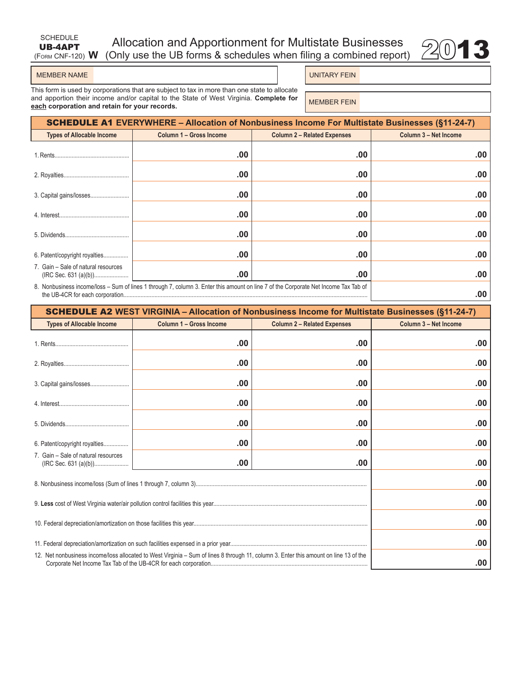# (Form CNF-120) **W** Allocation and Apportionment for Multistate Businesses 20113<br>(Only use the UB forms & schedules when filing a combined report) 2013



SCHEDULE UB-4APT

UNITARY FEIN

This form is used by corporations that are subject to tax in more than one state to allocate and apportion their income and/or capital to the State of West Virginia. **Complete for**  and apportion their income and/or capital to the state of west virginia. Complete for **MEMBER FEIN**<br>each corporation and retain for your records.

| <b>SCHEDULE A1 EVERYWHERE – Allocation of Nonbusiness Income For Multistate Businesses (§11-24-7)</b>                               |                         |                                    |                       |  |  |
|-------------------------------------------------------------------------------------------------------------------------------------|-------------------------|------------------------------------|-----------------------|--|--|
| <b>Types of Allocable Income</b>                                                                                                    | Column 1 - Gross Income | <b>Column 2 - Related Expenses</b> | Column 3 - Net Income |  |  |
|                                                                                                                                     | .00                     | .00                                | .00                   |  |  |
|                                                                                                                                     | .00                     | .00                                | .00                   |  |  |
|                                                                                                                                     | .00                     | .00                                | .00                   |  |  |
|                                                                                                                                     | .00                     | .00                                | .00                   |  |  |
|                                                                                                                                     | .00                     | .00                                | .00                   |  |  |
| 6. Patent/copyright royalties                                                                                                       | .00                     | .00                                | .00                   |  |  |
| 7. Gain – Sale of natural resources                                                                                                 | .00                     | .00                                | .00                   |  |  |
| 8. Nonbusiness income/loss – Sum of lines 1 through 7, column 3. Enter this amount on line 7 of the Corporate Net Income Tax Tab of | .00                     |                                    |                       |  |  |

| <b>SCHEDULE A2 WEST VIRGINIA - Allocation of Nonbusiness Income for Multistate Businesses (§11-24-7)</b> |                                                                                                                                       |                                    |                       |  |
|----------------------------------------------------------------------------------------------------------|---------------------------------------------------------------------------------------------------------------------------------------|------------------------------------|-----------------------|--|
| <b>Types of Allocable Income</b>                                                                         | Column 1 - Gross Income                                                                                                               | <b>Column 2 - Related Expenses</b> | Column 3 - Net Income |  |
|                                                                                                          | .00                                                                                                                                   | .00                                | .00                   |  |
|                                                                                                          | .00                                                                                                                                   | .00                                | .00                   |  |
|                                                                                                          | .00                                                                                                                                   | .00                                | .00                   |  |
|                                                                                                          | .00                                                                                                                                   | .00                                | .00                   |  |
|                                                                                                          | .00                                                                                                                                   | .00                                | .00                   |  |
| 6. Patent/copyright royalties                                                                            | .00                                                                                                                                   | .00                                | .00                   |  |
| 7. Gain - Sale of natural resources                                                                      | .00                                                                                                                                   | .00                                | .00                   |  |
|                                                                                                          |                                                                                                                                       |                                    | .00                   |  |
|                                                                                                          |                                                                                                                                       |                                    | .00                   |  |
|                                                                                                          |                                                                                                                                       |                                    | .00                   |  |
|                                                                                                          |                                                                                                                                       |                                    | .00                   |  |
|                                                                                                          | 12. Net nonbusiness income/loss allocated to West Virginia – Sum of lines 8 through 11, column 3. Enter this amount on line 13 of the |                                    | .00                   |  |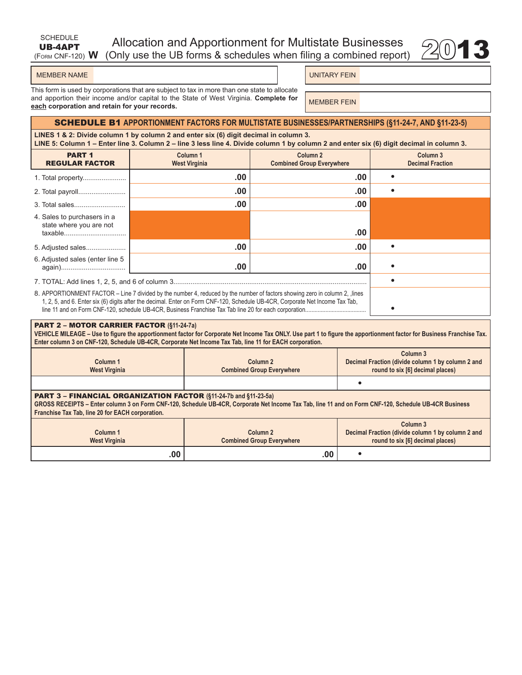| SCHEDULE | Allocation and Apportionment for Multistate Businesses                              |  |
|----------|-------------------------------------------------------------------------------------|--|
|          | <b>UB-4APT</b> Allocation and Apportionment for Multistate Businesses $\otimes$ 013 |  |

| <b>MEMBER NAME</b> |
|--------------------|
|--------------------|

UNITARY FEIN

This form is used by corporations that are subject to tax in more than one state to allocate and apportion their income and/or capital to the State of West Virginia. **Complete for**  and apportion their income and/or capital to the state of west virginia. Complete for **MEMBER FEIN** 

## SCHEDULE B1 **APPORTIONMENT FACTORS FOR MULTISTATE BUSINESSES/PARTNERSHIPS (§11-24-7, AND §11-23-5)**

**LINES 1 & 2: Divide column 1 by column 2 and enter six (6) digit decimal in column 3. LINE 5: Column 1 – Enter line 3. Column 2 – line 3 less line 4. Divide column 1 by column 2 and enter six (6) digit decimal in column 3.**

| <b>PART 1</b><br><b>REGULAR FACTOR</b> | Column <sub>1</sub><br><b>West Virginia</b>                                                                                                                                                                                                                 | Column <sub>2</sub><br><b>Combined Group Everywhere</b> | Column 3<br><b>Decimal Fraction</b> |
|----------------------------------------|-------------------------------------------------------------------------------------------------------------------------------------------------------------------------------------------------------------------------------------------------------------|---------------------------------------------------------|-------------------------------------|
| 1. Total property                      | .00                                                                                                                                                                                                                                                         | .00                                                     |                                     |
| 2. Total payroll                       | .00                                                                                                                                                                                                                                                         | .00                                                     |                                     |
|                                        | .00                                                                                                                                                                                                                                                         | .00                                                     |                                     |
| 4. Sales to purchasers in a            |                                                                                                                                                                                                                                                             |                                                         |                                     |
| state where you are not<br>taxable     |                                                                                                                                                                                                                                                             | .00                                                     |                                     |
| 5. Adjusted sales                      | .00                                                                                                                                                                                                                                                         | .00                                                     |                                     |
| 6. Adjusted sales (enter line 5        | .00                                                                                                                                                                                                                                                         | .00                                                     |                                     |
|                                        |                                                                                                                                                                                                                                                             |                                                         |                                     |
|                                        | 8. APPORTIONMENT FACTOR – Line 7 divided by the number 4, reduced by the number of factors showing zero in column 2, lines<br>1, 2, 5, and 6. Enter six (6) digits after the decimal. Enter on Form CNF-120, Schedule UB-4CR, Corporate Net Income Tax Tab, |                                                         |                                     |

#### PART 2 – MOTOR CARRIER FACTOR **(§11-24-7a)**

**VEHICLE MILEAGE – Use to figure the apportionment factor for Corporate Net Income Tax ONLY. Use part 1 to figure the apportionment factor for Business Franchise Tax. Enter column 3 on CNF-120, Schedule UB-4CR, Corporate Net Income Tax Tab, line 11 for EACH corporation.**

| Column <sub>1</sub><br><b>West Virginia</b>                                                                                                                                                                                                                                          | Column <sub>2</sub><br><b>Combined Group Everywhere</b> | Column <sub>3</sub><br>Decimal Fraction (divide column 1 by column 2 and<br>round to six [6] decimal places) |  |  |  |
|--------------------------------------------------------------------------------------------------------------------------------------------------------------------------------------------------------------------------------------------------------------------------------------|---------------------------------------------------------|--------------------------------------------------------------------------------------------------------------|--|--|--|
|                                                                                                                                                                                                                                                                                      |                                                         |                                                                                                              |  |  |  |
| <b>PART 3 - FINANCIAL ORGANIZATION FACTOR (§11-24-7b and §11-23-5a)</b><br>GROSS RECEIPTS - Enter column 3 on Form CNF-120, Schedule UB-4CR, Corporate Net Income Tax Tab, line 11 and on Form CNF-120, Schedule UB-4CR Business<br>Franchise Tax Tab, line 20 for EACH corporation. |                                                         |                                                                                                              |  |  |  |
| Column <sub>1</sub><br><b>West Virginia</b>                                                                                                                                                                                                                                          | Column <sub>2</sub><br><b>Combined Group Everywhere</b> | Column <sub>3</sub><br>Decimal Fraction (divide column 1 by column 2 and<br>round to six [6] decimal places) |  |  |  |
| .00                                                                                                                                                                                                                                                                                  | .00                                                     |                                                                                                              |  |  |  |